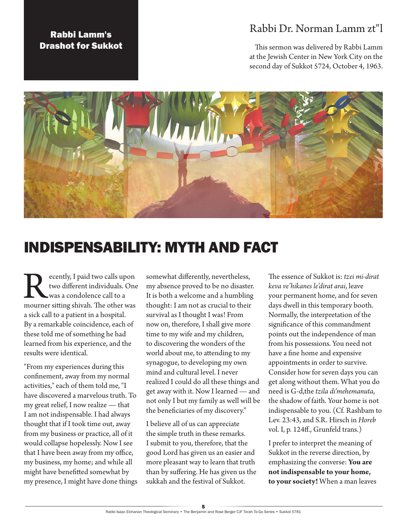## Rabbi Lamm's Drashot for Sukkot

## Rabbi Dr. Norman Lamm zt"l

This sermon was delivered by Rabbi Lamm at the Jewish Center in New York City on the second day of Sukkot 5724, October 4, 1963.



## INDISPENSABILITY: MYTH AND FACT

Recently, I paid two calls upon two different individuals. One was a condolence call to a mourner sitting shivah. The other was two different individuals. One was a condolence call to a a sick call to a patient in a hospital. By a remarkable coincidence, each of these told me of something he had learned from his experience, and the results were identical.

"From my experiences during this confinement, away from my normal activities," each of them told me, "I have discovered a marvelous truth. To my great relief, I now realize — that I am not indispensable. I had always thought that if I took time out, away from my business or practice, all of it would collapse hopelessly. Now I see that I have been away from my office, my business, my home; and while all might have benefitted somewhat by my presence, I might have done things somewhat differently, nevertheless, my absence proved to be no disaster. It is both a welcome and a humbling thought: I am not as crucial to their survival as I thought I was! From now on, therefore, I shall give more time to my wife and my children, to discovering the wonders of the world about me, to attending to my synagogue, to developing my own mind and cultural level. I never realized I could do all these things and get away with it. Now I learned — and not only I but my family as well will be the beneficiaries of my discovery."

I believe all of us can appreciate the simple truth in these remarks. I submit to you, therefore, that the good Lord has given us an easier and more pleasant way to learn that truth than by suffering. He has given us the sukkah and the festival of Sukkot.

The essence of Sukkot is: *tzei mi-dirat keva ve'hikanes le'dirat arai*, leave your permanent home, and for seven days dwell in this temporary booth. Normally, the interpretation of the significance of this commandment points out the independence of man from his possessions. You need not have a fine home and expensive appointments in order to survive. Consider how for seven days you can get along without them. What you do need is G-d,the *tzila di'mehemanuta*, the shadow of faith. Your home is not indispensable to you. (Cf. Rashbam to Lev. 23:43, and S.R. Hirsch in *Horeb* vol. I, p. 124ff., Grunfeld trans.)

I prefer to interpret the meaning of Sukkot in the reverse direction, by emphasizing the converse: **You are not indispensable to your home, to your society!** When a man leaves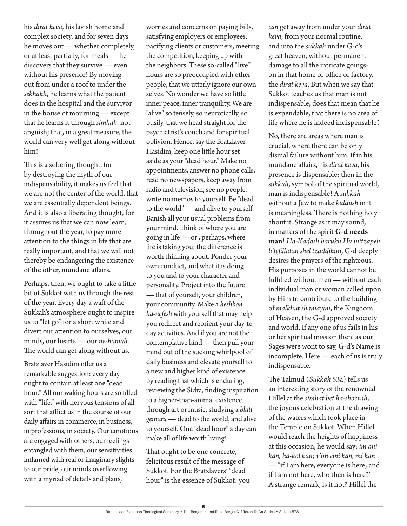his *dirat keva*, his lavish home and complex society, and for seven days he moves out — whether completely, or at least partially, for meals — he discovers that they survive — even without his presence! By moving out from under a roof to under the *sekhakh*, he learns what the patient does in the hospital and the survivor in the house of mourning — except that he learns it through *simhah*, not anguish; that, in a great measure, the world can very well get along without him!

This is a sobering thought, for by destroying the myth of our indispensability, it makes us feel that we are not the center of the world, that we are essentially dependent beings. And it is also a liberating thought, for it assures us that we can now learn, throughout the year, to pay more attention to the things in life that are really important, and that we will not thereby be endangering the existence of the other, mundane affairs.

Perhaps, then, we ought to take a little bit of Sukkot with us through the rest of the year. Every day a waft of the Sukkah's atmosphere ought to inspire us to "let go" for a short while and divert our attention to ourselves, our minds, our hearts — our *neshamah*. The world can get along without us.

Bratzlaver Hasidim offer us a remarkable suggestion: every day ought to contain at least one "dead hour." All our waking hours are so filled with "life," with nervous tensions of all sort that afflict us in the course of our daily affairs in commerce, in business, in professions, in society. Our emotions are engaged with others, our feelings entangled with them, our sensitivities inflamed with real or imaginary slights to our pride, our minds overflowing with a myriad of details and plans,

worries and concerns on paying bills, satisfying employers or employees, pacifying clients or customers, meeting the competition, keeping up with the neighbors. These so-called "live" hours are so preoccupied with other people, that we utterly ignore our own selves. No wonder we have so little inner peace, inner tranquility. We are "alive" so tensely, so neurotically, so busily, that we head straight for the psychiatrist's couch and for spiritual oblivion. Hence, say the Bratzlaver Hasidim, keep one little hour set aside as your "dead hour." Make no appointments, answer no phone calls, read no newspapers, keep away from radio and television, see no people, write no memos to yourself. Be "dead to the world" — and alive to yourself. Banish all your usual problems from your mind. Think of where you are going in life — or , perhaps, where life is taking you; the difference is worth thinking about. Ponder your own conduct, and what it is doing to you and to your character and personality. Project into the future — that of yourself, your children, your community. Make a *heshbon ha-nefesh* with yourself that may help you redirect and reorient your day-today activities. And if you are not the contemplative kind — then pull your mind out of the sucking whirlpool of daily business and elevate yourself to a new and higher kind of existence by reading that which is enduring, reviewing the Sidra, finding inspiration to a higher-than-animal existence through art or music, studying a *blatt gemara* — dead to the world, and alive to yourself. One "dead hour" a day can make all of life worth living!

That ought to be one concrete, felicitous result of the message of Sukkot. For the Bratzlavers' "dead hour" is the essence of Sukkot: you *can* get away from under your *dirat keva*, from your normal routine, and into the *sukkah* under G-d's great heaven, without permanent damage to all the intricate goingson in that home or office or factory, the *dirat keva*. But when we say that Sukkot teaches us that man is not indispensable, does that mean that he is expendable, that there is no area of life where he is indeed indispensable?

No, there are areas where man is crucial, where there can be only dismal failure without him. If in his mundane affairs, his *dirat keva*, his presence is dispensable; then in the *sukkah*, symbol of the spiritual world, man is indispensable! A *sukkah* without a Jew to make *kiddush* in it is meaningless. There is nothing holy about it. Strange as it may sound, in matters of the spirit **G-d needs man**! *Ha-Kadosh barukh Hu mitzapeh li'tefillatan shel tzaddikim*, G-d deeply desires the prayers of the righteous. His purposes in the world cannot be fulfilled without men — without each individual man or woman called upon by Him to contribute to the building of *malkhut shamayim*, the Kingdom of Heaven, the G-d approved society and world. If any one of us fails in his or her spiritual mission then, as our Sages were wont to say, G-d's Name is incomplete. Here — each of us is truly indispensable.

The Talmud (*Sukkah* 53a) tells us an interesting story of the renowned Hillel at the *simhat bet ha-shoevah*, the joyous celebration at the drawing of the waters which took place in the Temple on Sukkot. When Hillel would reach the heights of happiness at this occasion, he would say: *im ani kan, ha-kol kan; v'im eini kan, mi kan* — "if I am here, everyone is here; and if I am not here, who then is here?" A strange remark, is it not? Hillel the